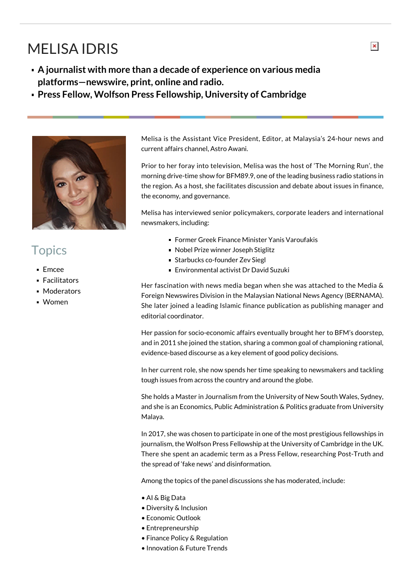## MELISA IDRIS

- **A journalist with more than a decade of experience on various media platforms—newswire, print, online and radio.**
- **Press Fellow, Wolfson Press Fellowship, University of Cambridge**



## **Topics**

- Emcee
- **Facilitators**
- **Moderators**
- Women

Melisa is the Assistant Vice President, Editor, at Malaysia's 24-hour news and current affairs channel, Astro Awani.

Prior to her foray into television, Melisa was the host of 'The Morning Run', the morning drive-time show for BFM89.9, one of the leading business radio stations in the region. As a host, she facilitates discussion and debate about issues in finance, the economy, and governance.

Melisa has interviewed senior policymakers, corporate leaders and international newsmakers, including:

- Former Greek Finance Minister Yanis Varoufakis
- Nobel Prize winner Joseph Stiglitz
- **Starbucks co-founder Zev Siegl**
- Environmental activist Dr David Suzuki

Her fascination with news media began when she was attached to the Media & Foreign Newswires Division in the Malaysian National News Agency (BERNAMA). She later joined a leading Islamic finance publication as publishing manager and editorial coordinator.

Her passion for socio-economic affairs eventually brought her to BFM's doorstep, and in 2011 she joined the station, sharing a common goal of championing rational, evidence-based discourse as a key element of good policy decisions.

In her current role, she now spends her time speaking to newsmakers and tackling tough issues from across the country and around the globe.

She holds a Master in Journalism from the University of New South Wales, Sydney, and she is an Economics, Public Administration & Politics graduate from University Malaya.

In 2017, she was chosen to participate in one of the most prestigious fellowships in journalism, the Wolfson Press Fellowship at the University of Cambridge in the UK. There she spent an academic term as a Press Fellow, researching Post-Truth and the spread of 'fake news' and disinformation.

Among the topics of the panel discussions she has moderated, include:

- AI & Big Data
- Diversity & Inclusion
- Economic Outlook
- Entrepreneurship
- Finance Policy & Regulation
- Innovation & Future Trends

 $\pmb{\times}$